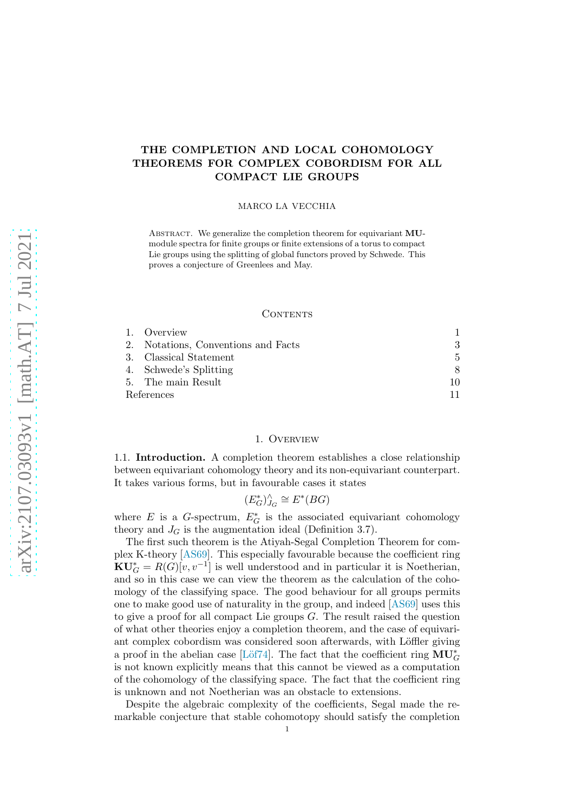# THE COMPLETION AND LOCAL COHOMOLOGY THEOREMS FOR COMPLEX COBORDISM FOR ALL COMPACT LIE GROUPS

### MARCO LA VECCHIA

ABSTRACT. We generalize the completion theorem for equivariant MUmodule spectra for finite groups or finite extensions of a torus to compact Lie groups using the splitting of global functors proved by Schwede. This proves a conjecture of Greenlees and May.

### CONTENTS

|            | 1. Overview                         |    |
|------------|-------------------------------------|----|
|            | 2. Notations, Conventions and Facts | 3. |
|            | 3. Classical Statement              | 5. |
|            | 4. Schwede's Splitting              | 8  |
|            | 5. The main Result                  | 10 |
| References |                                     |    |

# 1. Overview

<span id="page-0-0"></span>1.1. Introduction. A completion theorem establishes a close relationship between equivariant cohomology theory and its non-equivariant counterpart. It takes various forms, but in favourable cases it states

$$
(E_G^*)^{\wedge}_{J_G} \cong E^*(BG)
$$

where  $E$  is a G-spectrum,  $E_G^*$  is the associated equivariant cohomology theory and  $J_G$  is the augmentation ideal (Definition [3.7\)](#page-5-0).

The first such theorem is the Atiyah-Segal Completion Theorem for complex K-theory [\[AS69\]](#page-10-1). This especially favourable because the coefficient ring  $\mathbf{K} \mathbf{U}_G^* = R(G)[v, v^{-1}]$  is well understood and in particular it is Noetherian, and so in this case we can view the theorem as the calculation of the cohomology of the classifying space. The good behaviour for all groups permits one to make good use of naturality in the group, and indeed [\[AS69\]](#page-10-1) uses this to give a proof for all compact Lie groups  $G$ . The result raised the question of what other theories enjoy a completion theorem, and the case of equivariant complex cobordism was considered soon afterwards, with Löffler giving a proof in the abelian case [Löf74]. The fact that the coefficient ring  $\mathbf{MU}^*_G$ is not known explicitly means that this cannot be viewed as a computation of the cohomology of the classifying space. The fact that the coefficient ring is unknown and not Noetherian was an obstacle to extensions.

Despite the algebraic complexity of the coefficients, Segal made the remarkable conjecture that stable cohomotopy should satisfy the completion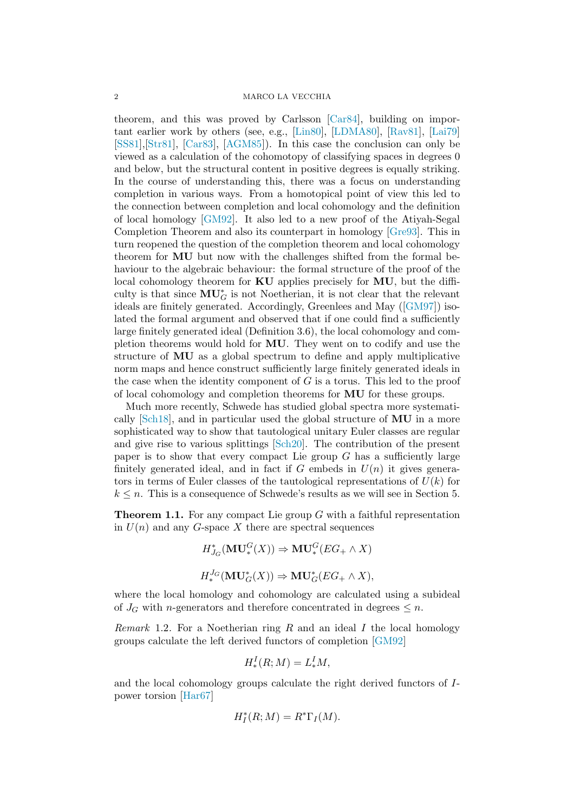theorem, and this was proved by Carlsson [\[Car84\]](#page-10-3), building on important earlier work by others (see, e.g., [\[Lin80\]](#page-10-4), [\[LDMA80\]](#page-10-5), [\[Rav81\]](#page-11-0), [\[Lai79\]](#page-10-6) [\[SS81\]](#page-11-1),[\[Str81\]](#page-11-2), [\[Car83\]](#page-10-7), [\[AGM85\]](#page-10-8)). In this case the conclusion can only be viewed as a calculation of the cohomotopy of classifying spaces in degrees 0 and below, but the structural content in positive degrees is equally striking. In the course of understanding this, there was a focus on understanding completion in various ways. From a homotopical point of view this led to the connection between completion and local cohomology and the definition of local homology [\[GM92\]](#page-10-9). It also led to a new proof of the Atiyah-Segal Completion Theorem and also its counterpart in homology [\[Gre93\]](#page-10-10). This in turn reopened the question of the completion theorem and local cohomology theorem for MU but now with the challenges shifted from the formal behaviour to the algebraic behaviour: the formal structure of the proof of the local cohomology theorem for KU applies precisely for MU, but the difficulty is that since  $MU_G^*$  is not Noetherian, it is not clear that the relevant ideals are finitely generated. Accordingly, Greenlees and May([\[GM97\]](#page-10-11)) isolated the formal argument and observed that if one could find a sufficiently large finitely generated ideal (Definition [3.6\)](#page-5-1), the local cohomology and completion theorems would hold for MU. They went on to codify and use the structure of MU as a global spectrum to define and apply multiplicative norm maps and hence construct sufficiently large finitely generated ideals in the case when the identity component of  $G$  is a torus. This led to the proof of local cohomology and completion theorems for MU for these groups.

Much more recently, Schwede has studied global spectra more systematically [\[Sch18\]](#page-11-3), and in particular used the global structure of MU in a more sophisticated way to show that tautological unitary Euler classes are regular and give rise to various splittings [\[Sch20\]](#page-11-4). The contribution of the present paper is to show that every compact Lie group  $G$  has a sufficiently large finitely generated ideal, and in fact if  $G$  embeds in  $U(n)$  it gives generators in terms of Euler classes of the tautological representations of  $U(k)$  for  $k \leq n$ . This is a consequence of Schwede's results as we will see in Section [5.](#page-9-0)

**Theorem 1.1.** For any compact Lie group  $G$  with a faithful representation in  $U(n)$  and any G-space X there are spectral sequences

$$
H_{J_G}^*(\mathbf{MU}_*^G(X)) \Rightarrow \mathbf{MU}_*^G(EG_+ \wedge X)
$$
  

$$
H_{*}^{J_G}(\mathbf{MU}_G^*(X)) \Rightarrow \mathbf{MU}_G^*(EG_+ \wedge X),
$$

where the local homology and cohomology are calculated using a subideal of  $J_G$  with *n*-generators and therefore concentrated in degrees  $\leq n$ .

<span id="page-1-0"></span>Remark 1.2. For a Noetherian ring  $R$  and an ideal  $I$  the local homology groups calculate the left derived functors of completion [\[GM92\]](#page-10-9)

$$
H^I_*(R;M) = L^I_*M,
$$

and the local cohomology groups calculate the right derived functors of Ipower torsion [\[Har67\]](#page-10-12)

$$
H_I^*(R;M) = R^*\Gamma_I(M).
$$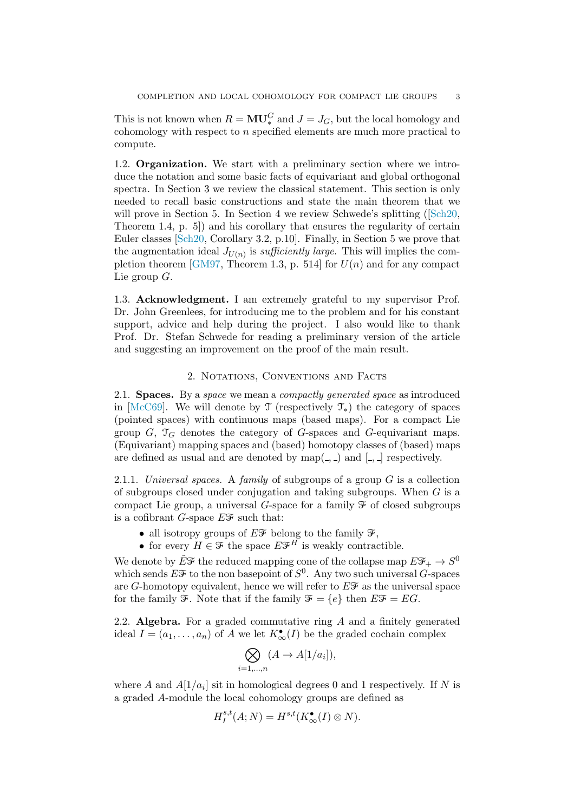This is not known when  $R = MU^G_*$  and  $J = J_G$ , but the local homology and cohomology with respect to n specified elements are much more practical to compute.

1.2. Organization. We start with a preliminary section where we introduce the notation and some basic facts of equivariant and global orthogonal spectra. In Section [3](#page-4-0) we review the classical statement. This section is only needed to recall basic constructions and state the main theorem that we will prove in Section [5.](#page-9-0) In Section [4](#page-7-0)we review Schwede's splitting ( $[Sch20,$ Theorem 1.4, p. 5]) and his corollary that ensures the regularity of certain Euler classes [\[Sch20,](#page-11-4) Corollary 3.2, p.10]. Finally, in Section [5](#page-9-0) we prove that the augmentation ideal  $J_{U(n)}$  is *sufficiently large*. This will implies the com-pletion theorem [\[GM97,](#page-10-11) Theorem 1.3, p. 514] for  $U(n)$  and for any compact Lie group  $G$ .

1.3. Acknowledgment. I am extremely grateful to my supervisor Prof. Dr. John Greenlees, for introducing me to the problem and for his constant support, advice and help during the project. I also would like to thank Prof. Dr. Stefan Schwede for reading a preliminary version of the article and suggesting an improvement on the proof of the main result.

# 2. Notations, Conventions and Facts

<span id="page-2-0"></span>2.1. Spaces. By a space we mean a compactly generated space as introduced in [\[McC69\]](#page-10-13). We will denote by  $\mathcal T$  (respectively  $\mathcal T_*$ ) the category of spaces (pointed spaces) with continuous maps (based maps). For a compact Lie group  $G$ ,  $\mathcal{T}_G$  denotes the category of G-spaces and G-equivariant maps. (Equivariant) mapping spaces and (based) homotopy classes of (based) maps are defined as usual and are denoted by  $map($ ,  $)$  and [,  $]$ ] respectively.

2.1.1. Universal spaces. A family of subgroups of a group  $G$  is a collection of subgroups closed under conjugation and taking subgroups. When  $G$  is a compact Lie group, a universal G-space for a family  $\mathcal F$  of closed subgroups is a cofibrant G-space  $E\mathcal{F}$  such that:

- all isotropy groups of  $E\mathscr{F}$  belong to the family  $\mathscr{F}$ ,
- for every  $H \in \mathcal{F}$  the space  $E \mathcal{F}^H$  is weakly contractible.

We denote by  $\tilde{E} \mathcal{F}$  the reduced mapping cone of the collapse map  $E \mathcal{F}_+ \to S^0$ which sends  $E\mathcal{F}$  to the non basepoint of  $S^0$ . Any two such universal G-spaces are G-homotopy equivalent, hence we will refer to  $E\mathscr{F}$  as the universal space for the family  $\mathcal{F}$ . Note that if the family  $\mathcal{F} = \{e\}$  then  $E\mathcal{F} = EG$ .

2.2. Algebra. For a graded commutative ring  $A$  and a finitely generated ideal  $I = (a_1, \ldots, a_n)$  of A we let  $K^{\bullet}_{\infty}(I)$  be the graded cochain complex

$$
\bigotimes_{i=1,\dots,n} (A \to A[1/a_i]),
$$

where A and  $A[1/a_i]$  sit in homological degrees 0 and 1 respectively. If N is a graded A-module the local cohomology groups are defined as

$$
H^{s,t}_I(A;N) = H^{s,t}(K^{\bullet}_{\infty}(I) \otimes N).
$$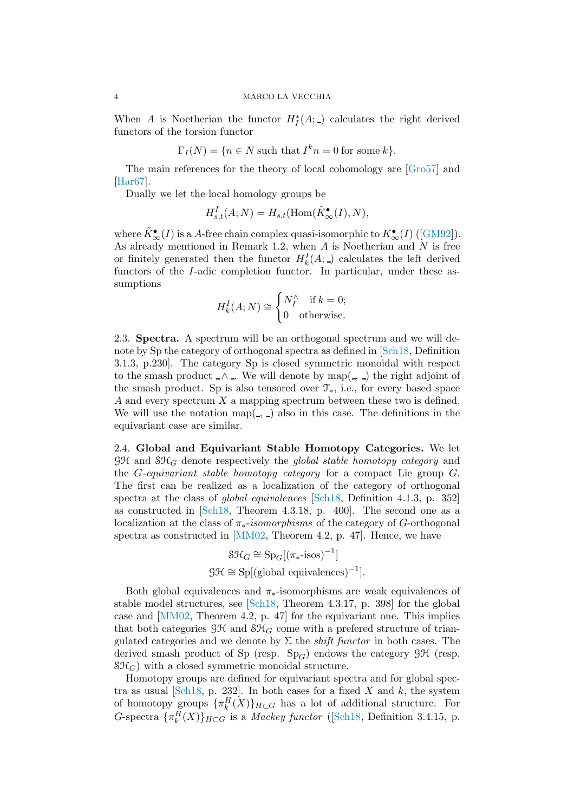When A is Noetherian the functor  $H_I^*(A; \_)$  calculates the right derived functors of the torsion functor

$$
\Gamma_I(N) = \{ n \in N \text{ such that } I^k n = 0 \text{ for some } k \}.
$$

The main references for the theory of local cohomology are [\[Gro57\]](#page-10-14) and [\[Har67\]](#page-10-12).

Dually we let the local homology groups be

$$
H^I_{s,t}(A;N) = H_{s,t}(\text{Hom}(\tilde{K}_{\infty}^{\bullet}(I),N),
$$

where $\tilde{K}_{\infty}^{\bullet}(I)$  is a A-free chain complex quasi-isomorphic to  $K_{\infty}^{\bullet}(I)$  ([\[GM92\]](#page-10-9)). As already mentioned in Remark [1.2,](#page-1-0) when  $A$  is Noetherian and  $N$  is free or finitely generated then the functor  $H_k^I(A; \_)$  calculates the left derived functors of the I-adic completion functor. In particular, under these assumptions

$$
H_k^I(A;N) \cong \begin{cases} N_I^{\wedge} & \text{if } k = 0; \\ 0 & \text{otherwise.} \end{cases}
$$

2.3. Spectra. A spectrum will be an orthogonal spectrum and we will denote by Sp the category of orthogonal spectra as defined in [\[Sch18,](#page-11-3) Definition 3.1.3, p.230]. The category Sp is closed symmetric monoidal with respect to the smash product  $\Lambda$ . We will denote by map(, ) the right adjoint of the smash product. Sp is also tensored over  $\mathcal{T}_{*}$ , i.e., for every based space A and every spectrum  $X$  a mapping spectrum between these two is defined. We will use the notation map( $\overline{\ }$ ,  $\overline{\ }$ ) also in this case. The definitions in the equivariant case are similar.

2.4. Global and Equivariant Stable Homotopy Categories. We let  $\mathcal{GH}$  and  $\mathcal{SH}_G$  denote respectively the global stable homotopy category and the G-equivariant stable homotopy category for a compact Lie group G. The first can be realized as a localization of the category of orthogonal spectra at the class of global equivalences [\[Sch18,](#page-11-3) Definition 4.1.3, p. 352] as constructed in [\[Sch18,](#page-11-3) Theorem 4.3.18, p. 400]. The second one as a localization at the class of  $\pi_*$ -isomorphisms of the category of G-orthogonal spectra as constructed in [\[MM02,](#page-10-15) Theorem 4.2, p. 47]. Hence, we have

$$
S\mathcal{H}_G \cong Sp_G[(\pi_*\text{-isos})^{-1}]
$$
  

$$
\mathcal{GH} \cong Sp[(\text{global equivalences})^{-1}].
$$

Both global equivalences and  $\pi_*$ -isomorphisms are weak equivalences of stable model structures, see [\[Sch18,](#page-11-3) Theorem 4.3.17, p. 398] for the global case and [\[MM02,](#page-10-15) Theorem 4.2, p. 47] for the equivariant one. This implies that both categories  $\mathcal{GH}$  and  $\mathcal{SH}_G$  come with a prefered structure of triangulated categories and we denote by  $\Sigma$  the *shift functor* in both cases. The derived smash product of Sp (resp.  $Sp_G$ ) endows the category GH (resp.  $\mathcal{SH}_G$ ) with a closed symmetric monoidal structure.

Homotopy groups are defined for equivariant spectra and for global spectra as usual  $\lbrack \text{Sch18}, \text{p. 232} \rbrack$ . In both cases for a fixed X and k, the system of homotopy groups  $\{\pi_k^H(X)\}_{H\subset G}$  has a lot of additional structure. For G-spectra  ${\lbrace \pi_k^H(X) \rbrace_{H \subset G} }$  is a *Mackey functor* ([\[Sch18,](#page-11-3) Definition 3.4.15, p.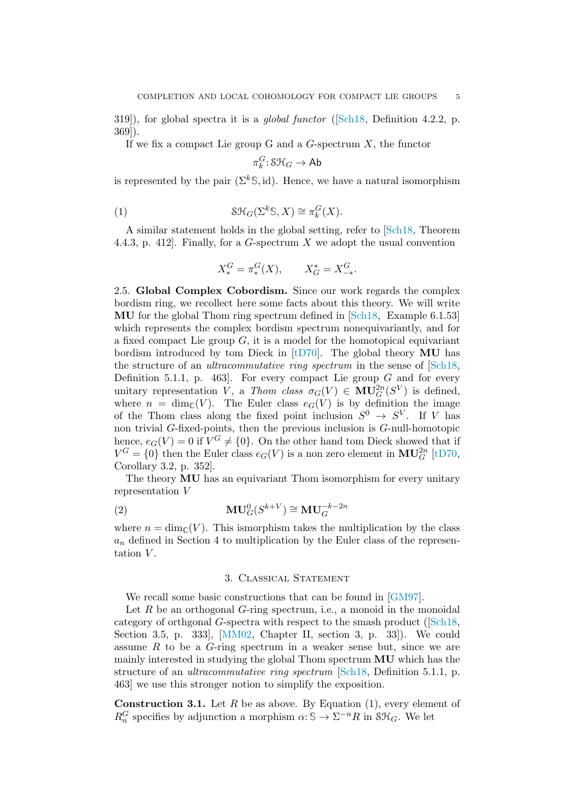319]), for global spectra it is a *global functor* ([\[Sch18,](#page-11-3) Definition 4.2.2, p. 369]).

If we fix a compact Lie group G and a  $G$ -spectrum  $X$ , the functor

<span id="page-4-1"></span>
$$
\pi^G_k\!:\!{\rm S}\mathcal H_G\to\operatorname{\sf Ab}
$$

is represented by the pair  $(\Sigma^k \mathcal{S}, id)$ . Hence, we have a natural isomorphism

(1) 
$$
\mathcal{SH}_G(\Sigma^k \mathbb{S}, X) \cong \pi_k^G(X).
$$

A similar statement holds in the global setting, refer to [\[Sch18,](#page-11-3) Theorem 4.4.3, p. 412. Finally, for a  $G$ -spectrum  $X$  we adopt the usual convention

$$
X_*^G = \pi_*^G(X), \qquad X_G^* = X_{-*}^G.
$$

<span id="page-4-3"></span>2.5. Global Complex Cobordism. Since our work regards the complex bordism ring, we recollect here some facts about this theory. We will write MU for the global Thom ring spectrum defined in [\[Sch18,](#page-11-3) Example 6.1.53] which represents the complex bordism spectrum nonequivariantly, and for a fixed compact Lie group  $G$ , it is a model for the homotopical equivariant bordism introduced by tom Dieck in  $[tD70]$ . The global theory **MU** has the structure of an ultracommutative ring spectrum in the sense of [\[Sch18,](#page-11-3) Definition 5.1.1, p. 463. For every compact Lie group  $G$  and for every unitary representation  $\overline{V}$ , a Thom class  $\sigma_G(V) \in MU_G^{2n}(S^V)$  is defined, where  $n = \dim_{\mathbb{C}}(V)$ . The Euler class  $e_G(V)$  is by definition the image of the Thom class along the fixed point inclusion  $S^0 \to S^V$ . If V has non trivial G-fixed-points, then the previous inclusion is G-null-homotopic hence,  $e_G(V) = 0$  if  $V^G \neq \{0\}$ . On the other hand tom Dieck showed that if  $V^G = \{0\}$  then the Euler class  $e_G(V)$  is a non zero element in  $\mathbf{MU}_G^{2n}$  [\[tD70,](#page-11-5) Corollary 3.2, p. 352].

The theory MU has an equivariant Thom isomorphism for every unitary representation V

(2) 
$$
\mathbf{MU}_G^0(S^{k+V}) \cong \mathbf{MU}_G^{-k-2n}
$$

where  $n = \dim_{\mathbb{C}}(V)$ . This ismorphism takes the multiplication by the class  $a_n$  defined in Section [4](#page-7-0) to multiplication by the Euler class of the representation  $V$ .

# 3. Classical Statement

<span id="page-4-0"></span>We recall some basic constructions that can be found in [\[GM97\]](#page-10-11).

Let  $R$  be an orthogonal  $G$ -ring spectrum, i.e., a monoid in the monoidal category of orthgonal G-spectra with respect to the smash product([\[Sch18,](#page-11-3) Section 3.5, p. 333], [\[MM02,](#page-10-15) Chapter II, section 3, p. 33]). We could assume  $R$  to be a  $G$ -ring spectrum in a weaker sense but, since we are mainly interested in studying the global Thom spectrum MU which has the structure of an *ultracommutative ring spectrum* [\[Sch18,](#page-11-3) Definition 5.1.1, p. 463] we use this stronger notion to simplify the exposition.

<span id="page-4-2"></span>**Construction 3.1.** Let  $R$  be as above. By Equation [\(1\)](#page-4-1), every element of  $R_n^G$  specifies by adjunction a morphism  $\alpha: \mathbb{S} \to \Sigma^{-n}R$  in  $\mathcal{SH}_G$ . We let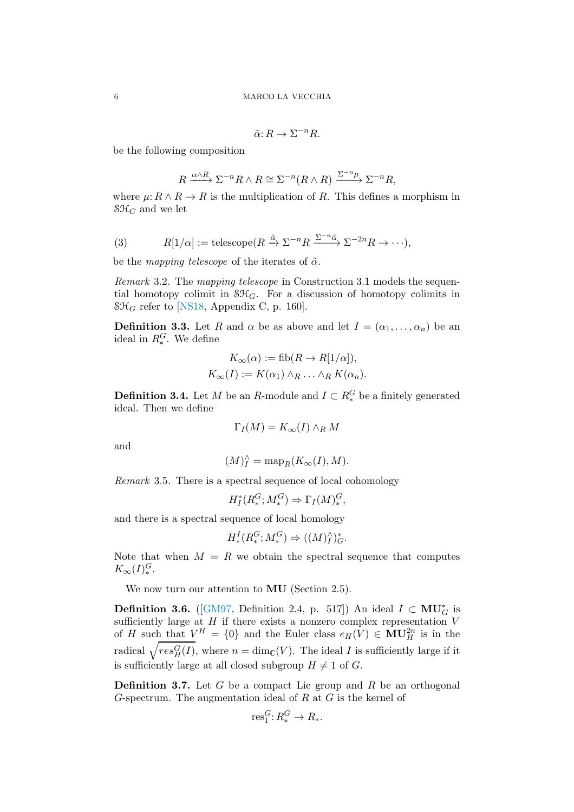$$
\tilde{\alpha}\hbox{:}\ R \to \Sigma^{-n} R.
$$

be the following composition

$$
R \xrightarrow{\alpha \wedge R} \Sigma^{-n} R \wedge R \cong \Sigma^{-n} (R \wedge R) \xrightarrow{\Sigma^{-n} \mu} \Sigma^{-n} R,
$$

where  $\mu: R \wedge R \to R$  is the multiplication of R. This defines a morphism in  $\mathcal{SH}_G$  and we let

(3) 
$$
R[1/\alpha] := \text{telescope}(R \xrightarrow{\tilde{\alpha}} \Sigma^{-n} R \xrightarrow{\Sigma^{-n} \tilde{\alpha}} \Sigma^{-2n} R \to \cdots),
$$

be the mapping telescope of the iterates of  $\tilde{\alpha}$ .

Remark 3.2. The mapping telescope in Construction [3.1](#page-4-2) models the sequential homotopy colimit in  $\mathcal{SH}_G$ . For a discussion of homotopy colimits in  $\mathcal{SH}_G$  refer to [\[NS18,](#page-10-16) Appendix C, p. 160].

**Definition 3.3.** Let R and  $\alpha$  be as above and let  $I = (\alpha_1, \dots, \alpha_n)$  be an ideal in  $R_*^G$ . We define

$$
K_{\infty}(\alpha) := \text{fib}(R \to R[1/\alpha]),
$$
  

$$
K_{\infty}(I) := K(\alpha_1) \wedge_R \ldots \wedge_R K(\alpha_n).
$$

**Definition 3.4.** Let M be an R-module and  $I \subset R_*^G$  be a finitely generated ideal. Then we define

$$
\Gamma_I(M) = K_{\infty}(I) \wedge_R M
$$

and

$$
(M)^\wedge_I = \text{map}_R(K_\infty(I), M).
$$

<span id="page-5-2"></span>Remark 3.5. There is a spectral sequence of local cohomology

$$
H_I^*(R_*^G; M_*^G) \Rightarrow \Gamma_I(M)_*^G,
$$

and there is a spectral sequence of local homology

$$
H^I_*(R^G_*, M^G_*) \Rightarrow ((M)^{\wedge}_I)^*_{G}.
$$

Note that when  $M = R$  we obtain the spectral sequence that computes  $K_{\infty}(I)_{*}^{G}.$ 

<span id="page-5-1"></span>We now turn our attention to **MU** (Section [2.5\)](#page-4-3).

**Definition 3.6.** ([\[GM97,](#page-10-11) Definition 2.4, p. 517]) An ideal  $I \subset MU_G^*$  is sufficiently large at  $H$  if there exists a nonzero complex representation  $V$ of H such that  $V^H = \{0\}$  and the Euler class  $e_H(V) \in MU_H^{2n}$  is in the radical  $\sqrt{res_H^G(I)}$ , where  $n = \dim_{\mathbb{C}}(V)$ . The ideal I is sufficiently large if it is sufficiently large at all closed subgroup  $H \neq 1$  of G.

<span id="page-5-0"></span>**Definition 3.7.** Let G be a compact Lie group and R be an orthogonal G-spectrum. The augmentation ideal of  $R$  at  $G$  is the kernel of

$$
\text{res}_1^G: R_*^G \to R_*.
$$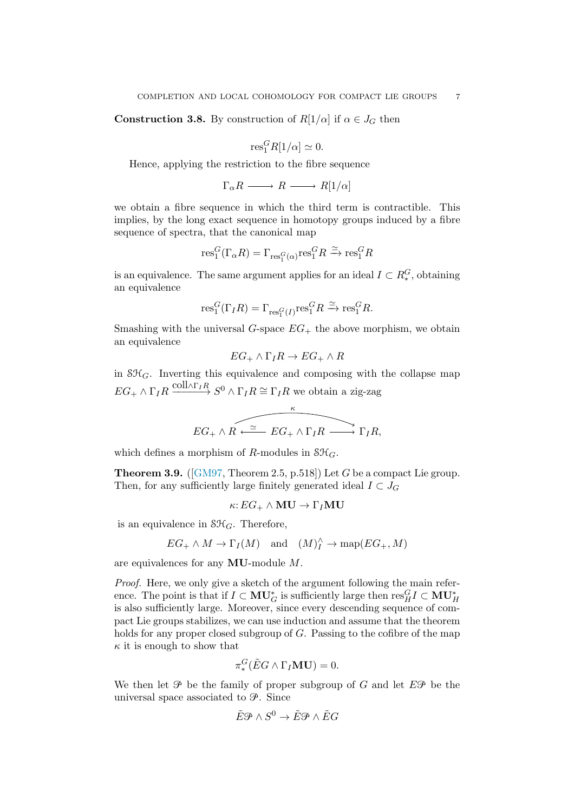**Construction 3.8.** By construction of  $R[1/\alpha]$  if  $\alpha \in J_G$  then

$$
\text{res}_1^G R[1/\alpha] \simeq 0.
$$

Hence, applying the restriction to the fibre sequence

$$
\Gamma_{\alpha}R \longrightarrow R \longrightarrow R[1/\alpha]
$$

we obtain a fibre sequence in which the third term is contractible. This implies, by the long exact sequence in homotopy groups induced by a fibre sequence of spectra, that the canonical map

$$
\text{res}_1^G(\Gamma_\alpha R)=\Gamma_{\text{res}_1^G(\alpha)}\text{res}_1^GR\xrightarrow{\simeq}\text{res}_1^GR
$$

is an equivalence. The same argument applies for an ideal  $I \subset R_*^G$ , obtaining an equivalence

$$
\text{res}_1^G(\Gamma_I R)=\Gamma_{\text{res}_1^G(I)}\text{res}_1^G R\xrightarrow{\simeq}\text{res}_1^G R.
$$

Smashing with the universal  $G$ -space  $EG_+$  the above morphism, we obtain an equivalence

$$
EG_+ \wedge \Gamma_I R \to EG_+ \wedge R
$$

in  $\mathcal{SH}_G$ . Inverting this equivalence and composing with the collapse map  $EG_+ \wedge \Gamma_I R \xrightarrow{\text{coll}\wedge \Gamma_I R} S^0 \wedge \Gamma_I R \cong \Gamma_I R$  we obtain a zig-zag

$$
EG_+ \wedge R \xrightarrow{\sim} EG_+ \wedge \Gamma_I R \xrightarrow{\kappa} \Gamma_I R,
$$

<span id="page-6-0"></span>which defines a morphism of R-modules in  $\mathcal{SH}_G$ .

**Theorem 3.9.** ([\[GM97,](#page-10-11) Theorem 2.5, p.518]) Let G be a compact Lie group. Then, for any sufficiently large finitely generated ideal  $I \subset J_G$ 

$$
\kappa: EG_+ \wedge MU \to \Gamma_I MU
$$

is an equivalence in  $\mathcal{SH}_G$ . Therefore,

$$
EG_+ \wedge M \to \Gamma_I(M)
$$
 and  $(M)_I^{\wedge} \to \text{map}(EG_+, M)$ 

are equivalences for any MU-module M.

Proof. Here, we only give a sketch of the argument following the main reference. The point is that if  $I \subset MU_G^*$  is sufficiently large then  ${\rm res}^G_H I \subset MU_H^*$ is also sufficiently large. Moreover, since every descending sequence of compact Lie groups stabilizes, we can use induction and assume that the theorem holds for any proper closed subgroup of G. Passing to the cofibre of the map  $\kappa$  it is enough to show that

$$
\pi_*^G(\tilde{E}G \wedge \Gamma_I \mathbf{MU}) = 0.
$$

We then let  $\mathcal P$  be the family of proper subgroup of G and let  $E\mathcal P$  be the universal space associated to  $\mathcal{P}$ . Since

$$
\tilde{E}\mathcal{P}\wedge S^0\to \tilde{E}\mathcal{P}\wedge \tilde{E}G
$$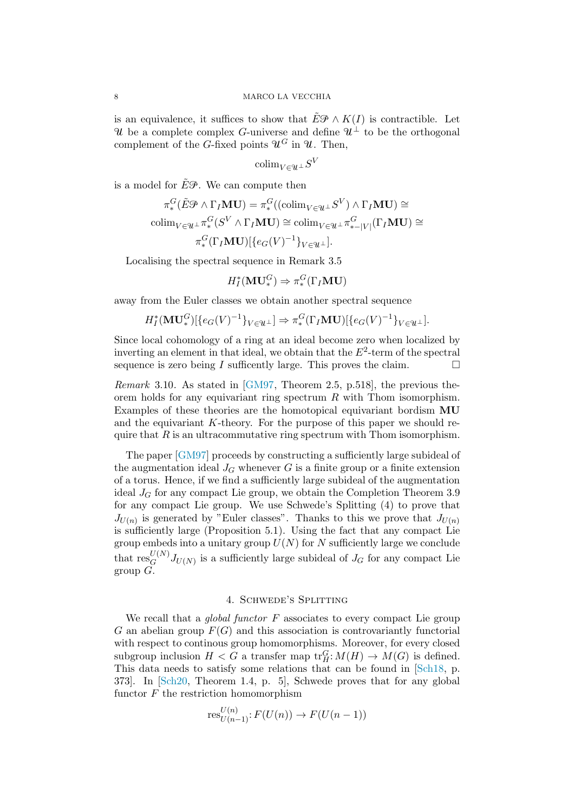is an equivalence, it suffices to show that  $E\mathcal{P} \wedge K(I)$  is contractible. Let U be a complete complex G-universe and define  $\mathcal{U}^{\perp}$  to be the orthogonal complement of the G-fixed points  $\mathcal{U}^G$  in  $\mathcal{U}$ . Then,

$$
\text{colim}_{V \in \mathcal{U}^{\perp}} S^V
$$

is a model for  $\tilde{E}\mathcal{P}$ . We can compute then

$$
\pi_*^G(\tilde{E}\mathcal{P}\wedge\Gamma_I\mathbf{MU}) = \pi_*^G((\mathrm{colim}_{V\in\mathcal{U}^\perp}S^V)\wedge\Gamma_I\mathbf{MU}) \cong
$$
  
colim<sub>V\in\mathcal{U}^\perp}\pi\_\*^G(S^V\wedge\Gamma\_I\mathbf{MU}) \cong \mathrm{colim}\_{V\in\mathcal{U}^\perp}\pi\_{\*-|V|}^G(\Gamma\_I\mathbf{MU}) \cong  

$$
\pi_*^G(\Gamma_I\mathbf{MU})[\{e_G(V)^{-1}\}_{V\in\mathcal{U}^\perp}].
$$</sub>

Localising the spectral sequence in Remark [3.5](#page-5-2)

$$
H_I^*(\mathbf{MU}^G_*) \Rightarrow \pi_*^G(\Gamma_I \mathbf{MU})
$$

away from the Euler classes we obtain another spectral sequence

$$
H_I^*(\mathbf{MU}^G_*)[\{e_G(V)^{-1}\}_{V \in \mathcal{U}^\perp}] \Rightarrow \pi_*^G(\Gamma_I \mathbf{MU})[\{e_G(V)^{-1}\}_{V \in \mathcal{U}^\perp}].
$$

Since local cohomology of a ring at an ideal become zero when localized by inverting an element in that ideal, we obtain that the  $E^2$ -term of the spectral sequence is zero being I sufficently large. This proves the claim.  $\Box$ 

Remark 3.10. As stated in [\[GM97,](#page-10-11) Theorem 2.5, p.518], the previous theorem holds for any equivariant ring spectrum  $R$  with Thom isomorphism. Examples of these theories are the homotopical equivariant bordism MU and the equivariant  $K$ -theory. For the purpose of this paper we should require that  $R$  is an ultracommutative ring spectrum with Thom isomorphism.

The paper [\[GM97\]](#page-10-11) proceeds by constructing a sufficiently large subideal of the augmentation ideal  $J_G$  whenever G is a finite group or a finite extension of a torus. Hence, if we find a sufficiently large subideal of the augmentation ideal  $J_G$  for any compact Lie group, we obtain the Completion Theorem [3.9](#page-6-0) for any compact Lie group. We use Schwede's Splitting [\(4\)](#page-8-0) to prove that  $J_{U(n)}$  is generated by "Euler classes". Thanks to this we prove that  $J_{U(n)}$ is sufficiently large (Proposition [5.1\)](#page-9-1). Using the fact that any compact Lie group embeds into a unitary group  $U(N)$  for N sufficiently large we conclude that  $\text{res}_{G}^{U(N)}J_{U(N)}$  is a sufficiently large subideal of  $J_G$  for any compact Lie group  $\overline{G}$ .

### 4. Schwede's Splitting

<span id="page-7-0"></span>We recall that a *global functor*  $F$  associates to every compact Lie group G an abelian group  $F(G)$  and this association is controvariantly functorial with respect to continous group homomorphisms. Moreover, for every closed subgroup inclusion  $H < G$  a transfer map  $\text{tr}_H^G: M(H) \to M(G)$  is defined. This data needs to satisfy some relations that can be found in [\[Sch18,](#page-11-3) p. 373]. In [\[Sch20,](#page-11-4) Theorem 1.4, p. 5], Schwede proves that for any global functor  $F$  the restriction homomorphism

$$
\operatorname{res}_{U(n-1)}^{U(n)}: F(U(n)) \to F(U(n-1))
$$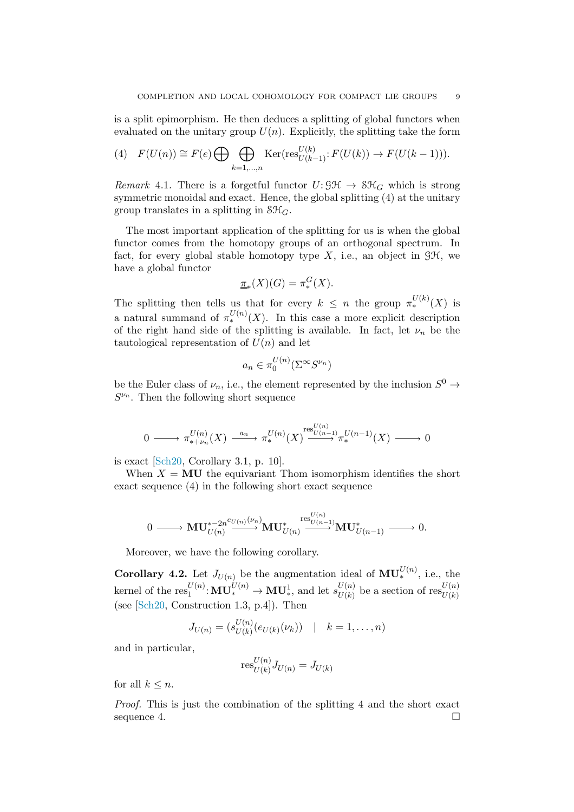is a split epimorphism. He then deduces a splitting of global functors when evaluated on the unitary group  $U(n)$ . Explicitly, the splitting take the form

<span id="page-8-0"></span>(4) 
$$
F(U(n)) \cong F(e) \bigoplus \bigoplus_{k=1,\dots,n} \text{Ker}(\text{res}_{U(k-1)}^{U(k)} : F(U(k)) \to F(U(k-1))).
$$

<span id="page-8-1"></span>Remark 4.1. There is a forgetful functor  $U: \mathcal{GH} \to \mathcal{SH}_G$  which is strong symmetric monoidal and exact. Hence, the global splitting [\(4\)](#page-8-0) at the unitary group translates in a splitting in  $\mathcal{SH}_G$ .

The most important application of the splitting for us is when the global functor comes from the homotopy groups of an orthogonal spectrum. In fact, for every global stable homotopy type X, i.e., an object in  $\mathcal{GH}$ , we have a global functor

$$
\underline{\pi}_*(X)(G) = \pi_*^G(X).
$$

The splitting then tells us that for every  $k \leq n$  the group  $\pi_*^{U(k)}(X)$  is a natural summand of  $\pi_*^{U(n)}(X)$ . In this case a more explicit description of the right hand side of the splitting is available. In fact, let  $\nu_n$  be the tautological representation of  $U(n)$  and let

$$
a_n \in \pi_0^{U(n)}(\Sigma^{\infty}S^{\nu_n})
$$

be the Euler class of  $\nu_n$ , i.e., the element represented by the inclusion  $S^0 \to$  $S^{\nu_n}$ . Then the following short sequence

$$
0 \longrightarrow \pi_{*+\nu_n}^{U(n)}(X) \xrightarrow{a_n} \pi_*^{U(n)}(X) \xrightarrow{\text{res}_{U(n-1)}^{U(n)}} \pi_*^{U(n-1)}(X) \longrightarrow 0
$$

is exact [\[Sch20,](#page-11-4) Corollary 3.1, p. 10].

When  $X = MU$  the equivariant Thom isomorphism identifies the short exact sequence [\(4\)](#page-8-1) in the following short exact sequence

$$
0\longrightarrow \mathbf{MU}_{U(n)}^{*-2n^{e_{U(n)}}(\nu_n)}\mathbf{MU}_{U(n)}^{*\xrightarrow{\operatorname{res}_{U(n-1)}^{U(n)}}}\mathbf{MU}_{U(n-1)}^{*}\longrightarrow 0.
$$

<span id="page-8-2"></span>Moreover, we have the following corollary.

**Corollary 4.2.** Let  $J_{U(n)}$  be the augmentation ideal of  $\mathbf{MU}_{*}^{U(n)}$ , i.e., the kernel of the  $res_1^{U(n)}: \mathbf{MU}_*^{U(n)} \to \mathbf{MU}_*^1$ , and let  $s_{U(k)}^{U(n)}$  $U(n) \atop U(k)$  be a section of  $\operatorname{res}_{U(k)}^{U(n)}$ (see [\[Sch20,](#page-11-4) Construction 1.3, p.4]). Then

$$
J_{U(n)} = (s_{U(k)}^{U(n)}(e_{U(k)}(\nu_k)) \ | k = 1, ..., n)
$$

and in particular,

$$
\operatorname{res}_{U(k)}^{U(n)} J_{U(n)} = J_{U(k)}
$$

for all  $k \leq n$ .

Proof. This is just the combination of the splitting [4](#page-8-0) and the short exact sequence [4.](#page-8-1)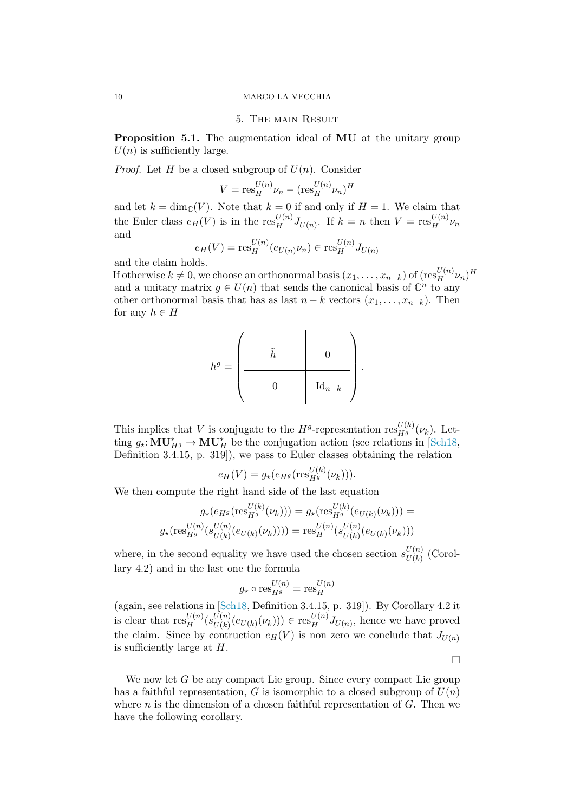### <span id="page-9-0"></span>10 MARCO LA VECCHIA

### 5. The main Result

<span id="page-9-1"></span>Proposition 5.1. The augmentation ideal of MU at the unitary group  $U(n)$  is sufficiently large.

*Proof.* Let H be a closed subgroup of  $U(n)$ . Consider

$$
V = \text{res}_H^{U(n)} \nu_n - (\text{res}_H^{U(n)} \nu_n)^H
$$

and let  $k = \dim_{\mathbb{C}}(V)$ . Note that  $k = 0$  if and only if  $H = 1$ . We claim that the Euler class  $e_H(V)$  is in the res<sup>U(n)</sup>  $J_{U(n)}$ . If  $k = n$  then  $V = \text{res}_H^{U(n)}$  $\frac{\partial}{\partial t}(\mu) \nu_n$ and

$$
e_H(V) = \text{res}_H^{U(n)}(e_{U(n)}\nu_n) \in \text{res}_H^{U(n)}J_{U(n)}
$$

and the claim holds.

If otherwise  $k \neq 0$ , we choose an orthonormal basis  $(x_1, \ldots, x_{n-k})$  of  $(\operatorname{res}_H^{U(n)}\nu_n)^H$ and a unitary matrix  $g \in U(n)$  that sends the canonical basis of  $\mathbb{C}^n$  to any other orthonormal basis that has as last  $n - k$  vectors  $(x_1, \ldots, x_{n-k})$ . Then for any  $h \in H$ 

$$
h^g = \left(\begin{array}{cccc} & & & & \\ & \tilde{h} & & & 0 \\ & & & & \\ & & 0 & & \mathrm{Id}_{n-k} \\ & & & & & \end{array}\right).
$$

This implies that V is conjugate to the  $H^g$ -representation  $\text{res}_{H^g}^{U(k)}(\nu_k)$ . Letting  $g_{\star}:\mathbf{MU}_{H^g}^* \to \mathbf{MU}_H^*$  be the conjugation action (see relations in [\[Sch18,](#page-11-3) Definition 3.4.15, p. 319]), we pass to Euler classes obtaining the relation

$$
e_H(V) = g_\star(e_{H^g}(\text{res}_{H^g}^{U(k)}(\nu_k))).
$$

We then compute the right hand side of the last equation

$$
g_{\star}(e_{H^g}(\text{res}_{H^g}^{U(k)}(\nu_k))) = g_{\star}(\text{res}_{H^g}^{U(k)}(e_{U(k)}(\nu_k))) =
$$

$$
g_{\star}(\text{res}_{H^g}^{U(n)}(s_{U(k)}^{U(n)}(e_{U(k)}(\nu_k)))) = \text{res}_{H}^{U(n)}(s_{U(k)}^{U(n)}(e_{U(k)}(\nu_k)))
$$

where, in the second equality we have used the chosen section  $s_{U(k)}^{U(n)}$  $U(k)$  (Corollary [4.2\)](#page-8-2) and in the last one the formula

$$
g_{\star} \circ \text{res}_{H^g}^{U(n)} = \text{res}_{H}^{U(n)}
$$

(again, see relations in [\[Sch18,](#page-11-3) Definition 3.4.15, p. 319]). By Corollary [4.2](#page-8-2) it is clear that  $\text{res}_H^{U(n)}(s_{U(k)}^{U(n)})$  $U(n)_{U(k)}(e_{U(k)}(\nu_k))) \in \text{res}_H^{U(n)}$  $\frac{U(n)}{H}J_{U(n)}$ , hence we have proved the claim. Since by contruction  $e_H(V)$  is non zero we conclude that  $J_{U(n)}$ is sufficiently large at  $H$ .

 $\Box$ 

We now let  $G$  be any compact Lie group. Since every compact Lie group has a faithful representation, G is isomorphic to a closed subgroup of  $U(n)$ where  $n$  is the dimension of a chosen faithful representation of  $G$ . Then we have the following corollary.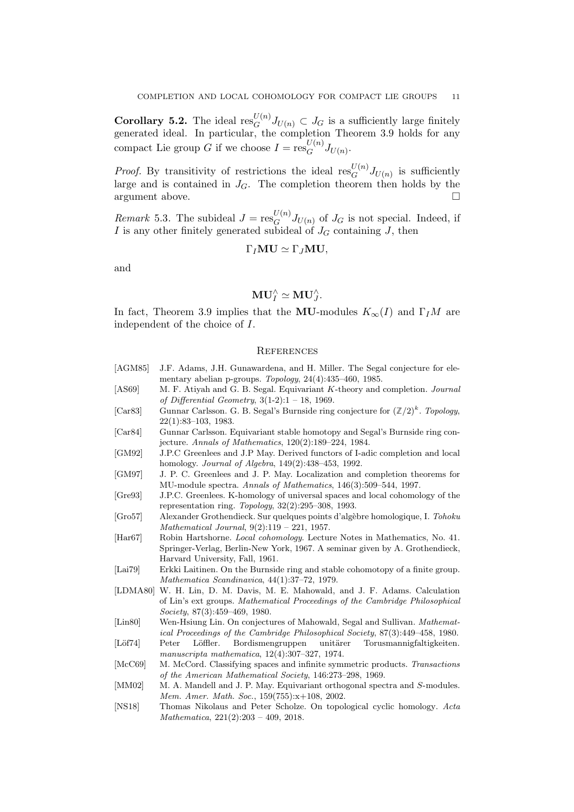**Corollary 5.2.** The ideal  $\text{res}_G^{U(n)} J_{U(n)} \subset J_G$  is a sufficiently large finitely generated ideal. In particular, the completion Theorem [3.9](#page-6-0) holds for any compact Lie group G if we choose  $I = \operatorname{res}_G^{U(n)}$  ${}_{G}^{U(n)}J_{U(n)}$ .

*Proof.* By transitivity of restrictions the ideal  $\text{res}_G^{U(n)} J_{U(n)}$  is sufficiently large and is contained in  $J_G$ . The completion theorem then holds by the argument above.

*Remark* 5.3. The subideal  $J = \text{res}_{G}^{U(n)}$  $G^{(n)}$  $J_{U(n)}$  of  $J_G$  is not special. Indeed, if I is any other finitely generated subideal of  $J_G$  containing J, then

$$
\Gamma_I \mathbf{MU} \simeq \Gamma_J \mathbf{MU},
$$

and

$$
\mathbf{MU}_I^\wedge \simeq \mathbf{MU}_J^\wedge.
$$

In fact, Theorem [3.9](#page-6-0) implies that the MU-modules  $K_{\infty}(I)$  and  $\Gamma_I M$  are independent of the choice of I.

#### <span id="page-10-0"></span>**REFERENCES**

<span id="page-10-16"></span><span id="page-10-15"></span><span id="page-10-14"></span><span id="page-10-13"></span><span id="page-10-12"></span><span id="page-10-11"></span><span id="page-10-10"></span><span id="page-10-9"></span><span id="page-10-8"></span><span id="page-10-7"></span><span id="page-10-6"></span><span id="page-10-5"></span><span id="page-10-4"></span><span id="page-10-3"></span><span id="page-10-2"></span><span id="page-10-1"></span>[AGM85] J.F. Adams, J.H. Gunawardena, and H. Miller. The Segal conjecture for elementary abelian p-groups. Topology, 24(4):435–460, 1985. [AS69] M. F. Atiyah and G. B. Segal. Equivariant K-theory and completion. Journal of Differential Geometry,  $3(1-2):1 - 18$ , 1969. [Car83] Gunnar Carlsson. G. B. Segal's Burnside ring conjecture for  $(\mathbb{Z}/2)^k$ . Topology, 22(1):83–103, 1983. [Car84] Gunnar Carlsson. Equivariant stable homotopy and Segal's Burnside ring conjecture. Annals of Mathematics, 120(2):189–224, 1984. [GM92] J.P.C Greenlees and J.P May. Derived functors of I-adic completion and local homology. Journal of Algebra, 149(2):438–453, 1992. [GM97] J. P. C. Greenlees and J. P. May. Localization and completion theorems for MU-module spectra. Annals of Mathematics, 146(3):509–544, 1997. [Gre93] J.P.C. Greenlees. K-homology of universal spaces and local cohomology of the representation ring. Topology, 32(2):295–308, 1993. [Gro57] Alexander Grothendieck. Sur quelques points d'algèbre homologique, I. Tohoku Mathematical Journal, 9(2):119 – 221, 1957. [Har67] Robin Hartshorne. Local cohomology. Lecture Notes in Mathematics, No. 41. Springer-Verlag, Berlin-New York, 1967. A seminar given by A. Grothendieck, Harvard University, Fall, 1961. [Lai79] Erkki Laitinen. On the Burnside ring and stable cohomotopy of a finite group. Mathematica Scandinavica, 44(1):37–72, 1979. [LDMA80] W. H. Lin, D. M. Davis, M. E. Mahowald, and J. F. Adams. Calculation of Lin's ext groups. Mathematical Proceedings of the Cambridge Philosophical Society, 87(3):459–469, 1980. [Lin80] Wen-Hsiung Lin. On conjectures of Mahowald, Segal and Sullivan. Mathematical Proceedings of the Cambridge Philosophical Society, 87(3):449–458, 1980. [Löf74] Peter Löffler. Bordismengruppen unitärer Torusmannigfaltigkeiten. manuscripta mathematica, 12(4):307–327, 1974. [McC69] M. McCord. Classifying spaces and infinite symmetric products. Transactions of the American Mathematical Society, 146:273–298, 1969. [MM02] M. A. Mandell and J. P. May. Equivariant orthogonal spectra and S-modules. Mem. Amer. Math. Soc., 159(755):x+108, 2002. [NS18] Thomas Nikolaus and Peter Scholze. On topological cyclic homology. Acta Mathematica, 221(2):203 – 409, 2018.